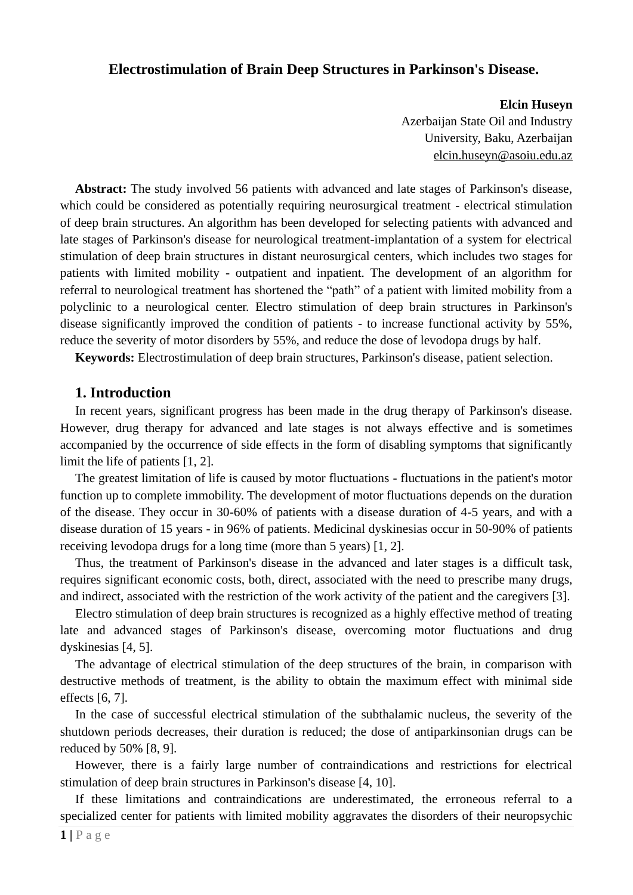# **Electrostimulation of Brain Deep Structures in Parkinson's Disease.**

**Elcin Huseyn** Azerbaijan State Oil and Industry University, Baku, Azerbaijan [elcin.huseyn@asoiu.edu.az](mailto:elcin.huseyn@asoiu.edu.az)

**Abstract:** The study involved 56 patients with advanced and late stages of Parkinson's disease, which could be considered as potentially requiring neurosurgical treatment - electrical stimulation of deep brain structures. An algorithm has been developed for selecting patients with advanced and late stages of Parkinson's disease for neurological treatment-implantation of a system for electrical stimulation of deep brain structures in distant neurosurgical centers, which includes two stages for patients with limited mobility - outpatient and inpatient. The development of an algorithm for referral to neurological treatment has shortened the "path" of a patient with limited mobility from a polyclinic to a neurological center. Electro stimulation of deep brain structures in Parkinson's disease significantly improved the condition of patients - to increase functional activity by 55%, reduce the severity of motor disorders by 55%, and reduce the dose of levodopa drugs by half.

**Keywords:** Electrostimulation of deep brain structures, Parkinson's disease, patient selection.

## **1. Introduction**

In recent years, significant progress has been made in the drug therapy of Parkinson's disease. However, drug therapy for advanced and late stages is not always effective and is sometimes accompanied by the occurrence of side effects in the form of disabling symptoms that significantly limit the life of patients [1, 2].

The greatest limitation of life is caused by motor fluctuations - fluctuations in the patient's motor function up to complete immobility. The development of motor fluctuations depends on the duration of the disease. They occur in 30-60% of patients with a disease duration of 4-5 years, and with a disease duration of 15 years - in 96% of patients. Medicinal dyskinesias occur in 50-90% of patients receiving levodopa drugs for a long time (more than 5 years) [1, 2].

Thus, the treatment of Parkinson's disease in the advanced and later stages is a difficult task, requires significant economic costs, both, direct, associated with the need to prescribe many drugs, and indirect, associated with the restriction of the work activity of the patient and the caregivers [3].

Electro stimulation of deep brain structures is recognized as a highly effective method of treating late and advanced stages of Parkinson's disease, overcoming motor fluctuations and drug dyskinesias [4, 5].

The advantage of electrical stimulation of the deep structures of the brain, in comparison with destructive methods of treatment, is the ability to obtain the maximum effect with minimal side effects [6, 7].

In the case of successful electrical stimulation of the subthalamic nucleus, the severity of the shutdown periods decreases, their duration is reduced; the dose of antiparkinsonian drugs can be reduced by 50% [8, 9].

However, there is a fairly large number of contraindications and restrictions for electrical stimulation of deep brain structures in Parkinson's disease [4, 10].

If these limitations and contraindications are underestimated, the erroneous referral to a specialized center for patients with limited mobility aggravates the disorders of their neuropsychic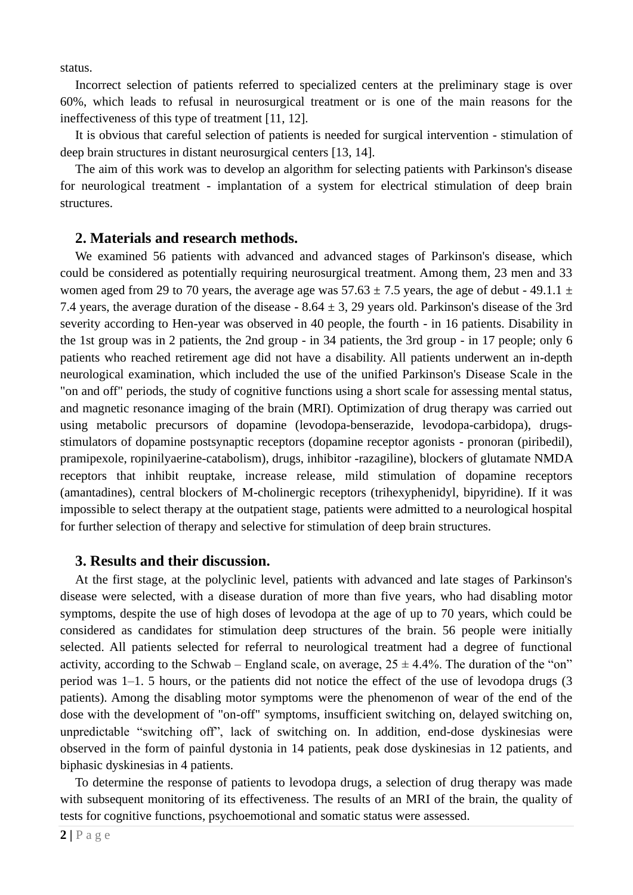status.

Incorrect selection of patients referred to specialized centers at the preliminary stage is over 60%, which leads to refusal in neurosurgical treatment or is one of the main reasons for the ineffectiveness of this type of treatment [11, 12].

It is obvious that careful selection of patients is needed for surgical intervention - stimulation of deep brain structures in distant neurosurgical centers [13, 14].

The aim of this work was to develop an algorithm for selecting patients with Parkinson's disease for neurological treatment - implantation of a system for electrical stimulation of deep brain structures.

### **2. Materials and research methods.**

We examined 56 patients with advanced and advanced stages of Parkinson's disease, which could be considered as potentially requiring neurosurgical treatment. Among them, 23 men and 33 women aged from 29 to 70 years, the average age was  $57.63 \pm 7.5$  years, the age of debut - 49.1.1  $\pm$ 7.4 years, the average duration of the disease  $-8.64 \pm 3$ , 29 years old. Parkinson's disease of the 3rd severity according to Hen-year was observed in 40 people, the fourth - in 16 patients. Disability in the 1st group was in 2 patients, the 2nd group - in 34 patients, the 3rd group - in 17 people; only 6 patients who reached retirement age did not have a disability. All patients underwent an in-depth neurological examination, which included the use of the unified Parkinson's Disease Scale in the "on and off" periods, the study of cognitive functions using a short scale for assessing mental status, and magnetic resonance imaging of the brain (MRI). Optimization of drug therapy was carried out using metabolic precursors of dopamine (levodopa-benserazide, levodopa-carbidopa), drugsstimulators of dopamine postsynaptic receptors (dopamine receptor agonists - pronoran (piribedil), pramipexole, ropinilyaerine-catabolism), drugs, inhibitor -razagiline), blockers of glutamate NMDA receptors that inhibit reuptake, increase release, mild stimulation of dopamine receptors (amantadines), central blockers of M-cholinergic receptors (trihexyphenidyl, bipyridine). If it was impossible to select therapy at the outpatient stage, patients were admitted to a neurological hospital for further selection of therapy and selective for stimulation of deep brain structures.

## **3. Results and their discussion.**

At the first stage, at the polyclinic level, patients with advanced and late stages of Parkinson's disease were selected, with a disease duration of more than five years, who had disabling motor symptoms, despite the use of high doses of levodopa at the age of up to 70 years, which could be considered as candidates for stimulation deep structures of the brain. 56 people were initially selected. All patients selected for referral to neurological treatment had a degree of functional activity, according to the Schwab – England scale, on average,  $25 \pm 4.4\%$ . The duration of the "on" period was 1–1. 5 hours, or the patients did not notice the effect of the use of levodopa drugs (3 patients). Among the disabling motor symptoms were the phenomenon of wear of the end of the dose with the development of "on-off" symptoms, insufficient switching on, delayed switching on, unpredictable "switching off", lack of switching on. In addition, end-dose dyskinesias were observed in the form of painful dystonia in 14 patients, peak dose dyskinesias in 12 patients, and biphasic dyskinesias in 4 patients.

To determine the response of patients to levodopa drugs, a selection of drug therapy was made with subsequent monitoring of its effectiveness. The results of an MRI of the brain, the quality of tests for cognitive functions, psychoemotional and somatic status were assessed.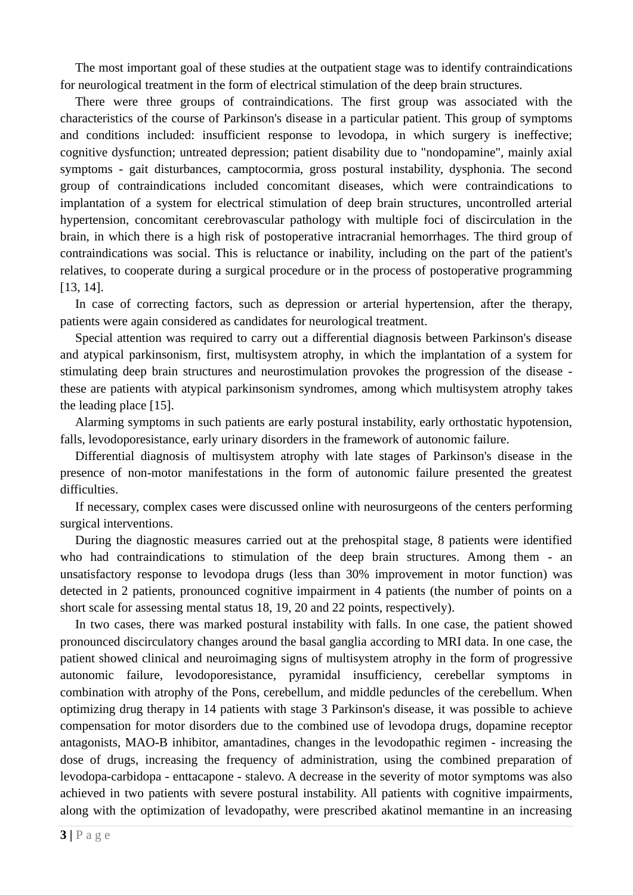The most important goal of these studies at the outpatient stage was to identify contraindications for neurological treatment in the form of electrical stimulation of the deep brain structures.

There were three groups of contraindications. The first group was associated with the characteristics of the course of Parkinson's disease in a particular patient. This group of symptoms and conditions included: insufficient response to levodopa, in which surgery is ineffective; cognitive dysfunction; untreated depression; patient disability due to "nondopamine", mainly axial symptoms - gait disturbances, camptocormia, gross postural instability, dysphonia. The second group of contraindications included concomitant diseases, which were contraindications to implantation of a system for electrical stimulation of deep brain structures, uncontrolled arterial hypertension, concomitant cerebrovascular pathology with multiple foci of discirculation in the brain, in which there is a high risk of postoperative intracranial hemorrhages. The third group of contraindications was social. This is reluctance or inability, including on the part of the patient's relatives, to cooperate during a surgical procedure or in the process of postoperative programming [13, 14].

In case of correcting factors, such as depression or arterial hypertension, after the therapy, patients were again considered as candidates for neurological treatment.

Special attention was required to carry out a differential diagnosis between Parkinson's disease and atypical parkinsonism, first, multisystem atrophy, in which the implantation of a system for stimulating deep brain structures and neurostimulation provokes the progression of the disease these are patients with atypical parkinsonism syndromes, among which multisystem atrophy takes the leading place [15].

Alarming symptoms in such patients are early postural instability, early orthostatic hypotension, falls, levodoporesistance, early urinary disorders in the framework of autonomic failure.

Differential diagnosis of multisystem atrophy with late stages of Parkinson's disease in the presence of non-motor manifestations in the form of autonomic failure presented the greatest difficulties.

If necessary, complex cases were discussed online with neurosurgeons of the centers performing surgical interventions.

During the diagnostic measures carried out at the prehospital stage, 8 patients were identified who had contraindications to stimulation of the deep brain structures. Among them - an unsatisfactory response to levodopa drugs (less than 30% improvement in motor function) was detected in 2 patients, pronounced cognitive impairment in 4 patients (the number of points on a short scale for assessing mental status 18, 19, 20 and 22 points, respectively).

In two cases, there was marked postural instability with falls. In one case, the patient showed pronounced discirculatory changes around the basal ganglia according to MRI data. In one case, the patient showed clinical and neuroimaging signs of multisystem atrophy in the form of progressive autonomic failure, levodoporesistance, pyramidal insufficiency, cerebellar symptoms in combination with atrophy of the Pons, cerebellum, and middle peduncles of the cerebellum. When optimizing drug therapy in 14 patients with stage 3 Parkinson's disease, it was possible to achieve compensation for motor disorders due to the combined use of levodopa drugs, dopamine receptor antagonists, MAO-B inhibitor, amantadines, changes in the levodopathic regimen - increasing the dose of drugs, increasing the frequency of administration, using the combined preparation of levodopa-carbidopa - enttacapone - stalevo. A decrease in the severity of motor symptoms was also achieved in two patients with severe postural instability. All patients with cognitive impairments, along with the optimization of levadopathy, were prescribed akatinol memantine in an increasing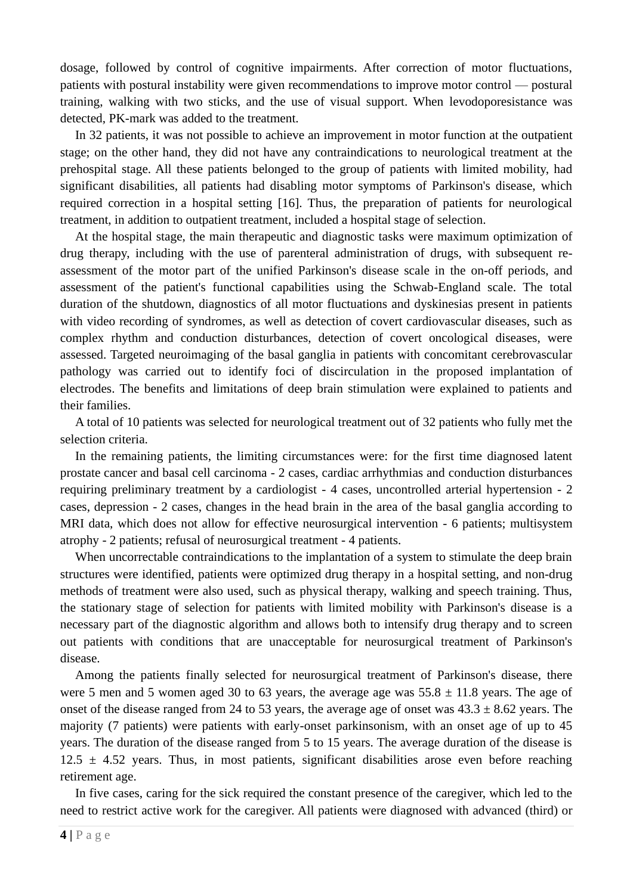dosage, followed by control of cognitive impairments. After correction of motor fluctuations, patients with postural instability were given recommendations to improve motor control — postural training, walking with two sticks, and the use of visual support. When levodoporesistance was detected, PK-mark was added to the treatment.

In 32 patients, it was not possible to achieve an improvement in motor function at the outpatient stage; on the other hand, they did not have any contraindications to neurological treatment at the prehospital stage. All these patients belonged to the group of patients with limited mobility, had significant disabilities, all patients had disabling motor symptoms of Parkinson's disease, which required correction in a hospital setting [16]. Thus, the preparation of patients for neurological treatment, in addition to outpatient treatment, included a hospital stage of selection.

At the hospital stage, the main therapeutic and diagnostic tasks were maximum optimization of drug therapy, including with the use of parenteral administration of drugs, with subsequent reassessment of the motor part of the unified Parkinson's disease scale in the on-off periods, and assessment of the patient's functional capabilities using the Schwab-England scale. The total duration of the shutdown, diagnostics of all motor fluctuations and dyskinesias present in patients with video recording of syndromes, as well as detection of covert cardiovascular diseases, such as complex rhythm and conduction disturbances, detection of covert oncological diseases, were assessed. Targeted neuroimaging of the basal ganglia in patients with concomitant cerebrovascular pathology was carried out to identify foci of discirculation in the proposed implantation of electrodes. The benefits and limitations of deep brain stimulation were explained to patients and their families.

A total of 10 patients was selected for neurological treatment out of 32 patients who fully met the selection criteria.

In the remaining patients, the limiting circumstances were: for the first time diagnosed latent prostate cancer and basal cell carcinoma - 2 cases, cardiac arrhythmias and conduction disturbances requiring preliminary treatment by a cardiologist - 4 cases, uncontrolled arterial hypertension - 2 cases, depression - 2 cases, changes in the head brain in the area of the basal ganglia according to MRI data, which does not allow for effective neurosurgical intervention - 6 patients; multisystem atrophy - 2 patients; refusal of neurosurgical treatment - 4 patients.

When uncorrectable contraindications to the implantation of a system to stimulate the deep brain structures were identified, patients were optimized drug therapy in a hospital setting, and non-drug methods of treatment were also used, such as physical therapy, walking and speech training. Thus, the stationary stage of selection for patients with limited mobility with Parkinson's disease is a necessary part of the diagnostic algorithm and allows both to intensify drug therapy and to screen out patients with conditions that are unacceptable for neurosurgical treatment of Parkinson's disease.

Among the patients finally selected for neurosurgical treatment of Parkinson's disease, there were 5 men and 5 women aged 30 to 63 years, the average age was  $55.8 \pm 11.8$  years. The age of onset of the disease ranged from 24 to 53 years, the average age of onset was  $43.3 \pm 8.62$  years. The majority (7 patients) were patients with early-onset parkinsonism, with an onset age of up to 45 years. The duration of the disease ranged from 5 to 15 years. The average duration of the disease is  $12.5 \pm 4.52$  years. Thus, in most patients, significant disabilities arose even before reaching retirement age.

In five cases, caring for the sick required the constant presence of the caregiver, which led to the need to restrict active work for the caregiver. All patients were diagnosed with advanced (third) or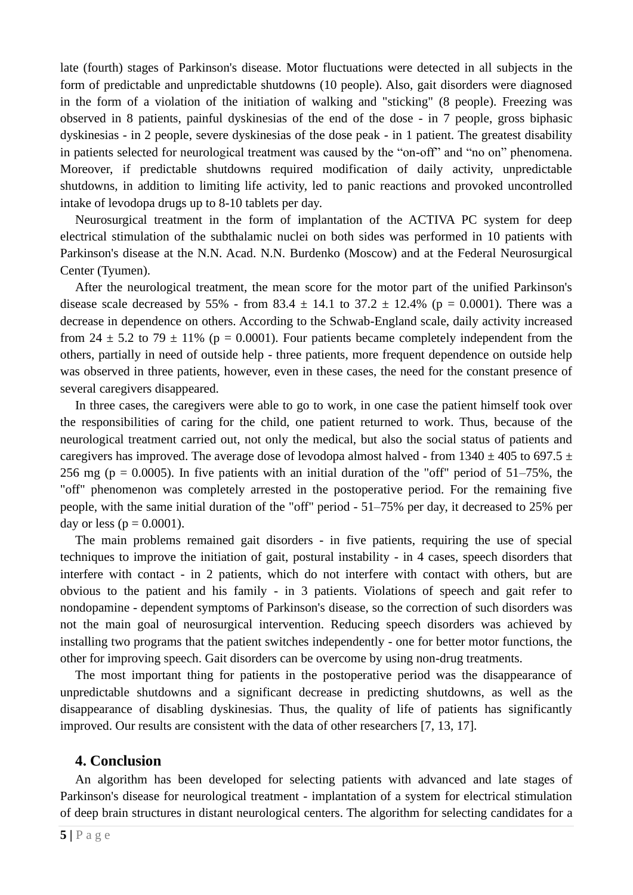late (fourth) stages of Parkinson's disease. Motor fluctuations were detected in all subjects in the form of predictable and unpredictable shutdowns (10 people). Also, gait disorders were diagnosed in the form of a violation of the initiation of walking and "sticking" (8 people). Freezing was observed in 8 patients, painful dyskinesias of the end of the dose - in 7 people, gross biphasic dyskinesias - in 2 people, severe dyskinesias of the dose peak - in 1 patient. The greatest disability in patients selected for neurological treatment was caused by the "on-off" and "no on" phenomena. Moreover, if predictable shutdowns required modification of daily activity, unpredictable shutdowns, in addition to limiting life activity, led to panic reactions and provoked uncontrolled intake of levodopa drugs up to 8-10 tablets per day.

Neurosurgical treatment in the form of implantation of the ACTIVA PC system for deep electrical stimulation of the subthalamic nuclei on both sides was performed in 10 patients with Parkinson's disease at the N.N. Acad. N.N. Burdenko (Moscow) and at the Federal Neurosurgical Center (Tyumen).

After the neurological treatment, the mean score for the motor part of the unified Parkinson's disease scale decreased by 55% - from 83.4  $\pm$  14.1 to 37.2  $\pm$  12.4% (p = 0.0001). There was a decrease in dependence on others. According to the Schwab-England scale, daily activity increased from 24  $\pm$  5.2 to 79  $\pm$  11% (p = 0.0001). Four patients became completely independent from the others, partially in need of outside help - three patients, more frequent dependence on outside help was observed in three patients, however, even in these cases, the need for the constant presence of several caregivers disappeared.

In three cases, the caregivers were able to go to work, in one case the patient himself took over the responsibilities of caring for the child, one patient returned to work. Thus, because of the neurological treatment carried out, not only the medical, but also the social status of patients and caregivers has improved. The average dose of levodopa almost halved - from  $1340 \pm 405$  to 697.5  $\pm$ 256 mg ( $p = 0.0005$ ). In five patients with an initial duration of the "off" period of 51–75%, the "off" phenomenon was completely arrested in the postoperative period. For the remaining five people, with the same initial duration of the "off" period - 51–75% per day, it decreased to 25% per day or less ( $p = 0.0001$ ).

The main problems remained gait disorders - in five patients, requiring the use of special techniques to improve the initiation of gait, postural instability - in 4 cases, speech disorders that interfere with contact - in 2 patients, which do not interfere with contact with others, but are obvious to the patient and his family - in 3 patients. Violations of speech and gait refer to nondopamine - dependent symptoms of Parkinson's disease, so the correction of such disorders was not the main goal of neurosurgical intervention. Reducing speech disorders was achieved by installing two programs that the patient switches independently - one for better motor functions, the other for improving speech. Gait disorders can be overcome by using non-drug treatments.

The most important thing for patients in the postoperative period was the disappearance of unpredictable shutdowns and a significant decrease in predicting shutdowns, as well as the disappearance of disabling dyskinesias. Thus, the quality of life of patients has significantly improved. Our results are consistent with the data of other researchers [7, 13, 17].

#### **4. Conclusion**

An algorithm has been developed for selecting patients with advanced and late stages of Parkinson's disease for neurological treatment - implantation of a system for electrical stimulation of deep brain structures in distant neurological centers. The algorithm for selecting candidates for a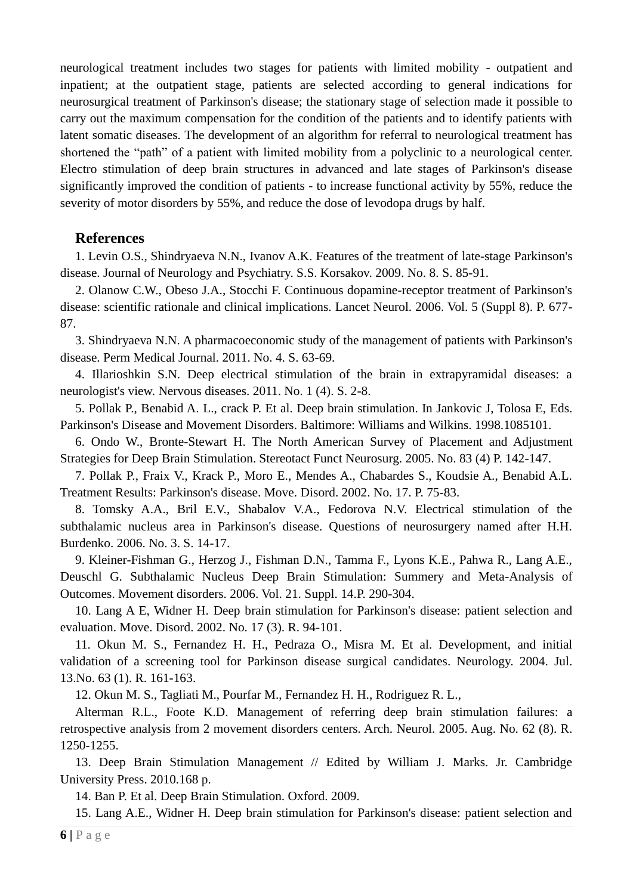neurological treatment includes two stages for patients with limited mobility - outpatient and inpatient; at the outpatient stage, patients are selected according to general indications for neurosurgical treatment of Parkinson's disease; the stationary stage of selection made it possible to carry out the maximum compensation for the condition of the patients and to identify patients with latent somatic diseases. The development of an algorithm for referral to neurological treatment has shortened the "path" of a patient with limited mobility from a polyclinic to a neurological center. Electro stimulation of deep brain structures in advanced and late stages of Parkinson's disease significantly improved the condition of patients - to increase functional activity by 55%, reduce the severity of motor disorders by 55%, and reduce the dose of levodopa drugs by half.

# **References**

1. Levin O.S., Shindryaeva N.N., Ivanov A.K. Features of the treatment of late-stage Parkinson's disease. Journal of Neurology and Psychiatry. S.S. Korsakov. 2009. No. 8. S. 85-91.

2. Olanow C.W., Obeso J.A., Stocchi F. Continuous dopamine-receptor treatment of Parkinson's disease: scientific rationale and clinical implications. Lancet Neurol. 2006. Vol. 5 (Suppl 8). P. 677- 87.

3. Shindryaeva N.N. A pharmacoeconomic study of the management of patients with Parkinson's disease. Perm Medical Journal. 2011. No. 4. S. 63-69.

4. Illarioshkin S.N. Deep electrical stimulation of the brain in extrapyramidal diseases: a neurologist's view. Nervous diseases. 2011. No. 1 (4). S. 2-8.

5. Pollak P., Benabid A. L., crack P. Et al. Deep brain stimulation. In Jankovic J, Tolosa E, Eds. Parkinson's Disease and Movement Disorders. Baltimore: Williams and Wilkins. 1998.1085101.

6. Ondo W., Bronte-Stewart H. The North American Survey of Placement and Adjustment Strategies for Deep Brain Stimulation. Stereotact Funct Neurosurg. 2005. No. 83 (4) P. 142-147.

7. Pollak P., Fraix V., Krack P., Moro E., Mendes A., Chabardes S., Koudsie A., Benabid A.L. Treatment Results: Parkinson's disease. Move. Disord. 2002. No. 17. P. 75-83.

8. Tomsky A.A., Bril E.V., Shabalov V.A., Fedorova N.V. Electrical stimulation of the subthalamic nucleus area in Parkinson's disease. Questions of neurosurgery named after H.H. Burdenko. 2006. No. 3. S. 14-17.

9. Kleiner-Fishman G., Herzog J., Fishman D.N., Tamma F., Lyons K.E., Pahwa R., Lang A.E., Deuschl G. Subthalamic Nucleus Deep Brain Stimulation: Summery and Meta-Analysis of Outcomes. Movement disorders. 2006. Vol. 21. Suppl. 14.P. 290-304.

10. Lang A E, Widner H. Deep brain stimulation for Parkinson's disease: patient selection and evaluation. Move. Disord. 2002. No. 17 (3). R. 94-101.

11. Okun M. S., Fernandez H. H., Pedraza O., Misra M. Et al. Development, and initial validation of a screening tool for Parkinson disease surgical candidates. Neurology. 2004. Jul. 13.No. 63 (1). R. 161-163.

12. Okun M. S., Tagliati M., Pourfar M., Fernandez H. H., Rodriguez R. L.,

Alterman R.L., Foote K.D. Management of referring deep brain stimulation failures: a retrospective analysis from 2 movement disorders centers. Arch. Neurol. 2005. Aug. No. 62 (8). R. 1250-1255.

13. Deep Brain Stimulation Management // Edited by William J. Marks. Jr. Cambridge University Press. 2010.168 p.

14. Ban P. Et al. Deep Brain Stimulation. Oxford. 2009.

15. Lang A.E., Widner H. Deep brain stimulation for Parkinson's disease: patient selection and